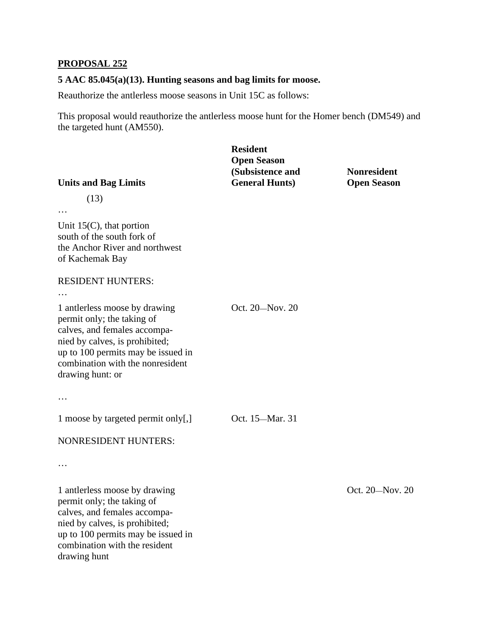## **PROPOSAL 252**

#### **5 AAC 85.045(a)(13). Hunting seasons and bag limits for moose.**

Reauthorize the antlerless moose seasons in Unit 15C as follows:

This proposal would reauthorize the antlerless moose hunt for the Homer bench (DM549) and the targeted hunt (AM550).

# **(Subsistence and Transference A) Resident Open Season General Hunts) Open Season**

Oct. 20—Nov. 20

Oct. 15—Mar. 31

# **Units and Bag Limits**

(13)

Unit 15(C), that portion south of the south fork of the Anchor River and northwest of Kachemak Bay

#### RESIDENT HUNTERS:

…

…

 1 antlerless moose by drawing permit only; the taking of calves, and females accompanied by calves, is prohibited; up to 100 permits may be issued in combination with the nonresident drawing hunt: or

…

1 moose by targeted permit only[,]

## NONRESIDENT HUNTERS:

…

 1 antlerless moose by drawing permit only; the taking of calves, and females accompanied by calves, is prohibited; up to 100 permits may be issued in combination with the resident drawing hunt

Oct. 20—Nov. 20